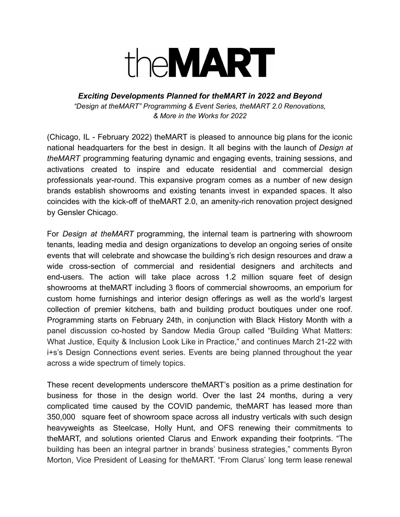

*Exciting Developments Planned for theMART in 2022 and Beyond "Design at theMART" Programming & Event Series, theMART 2.0 Renovations, & More in the Works for 2022*

(Chicago, IL - February 2022) theMART is pleased to announce big plans for the iconic national headquarters for the best in design. It all begins with the launch of *Design at theMART* programming featuring dynamic and engaging events, training sessions, and activations created to inspire and educate residential and commercial design professionals year-round. This expansive program comes as a number of new design brands establish showrooms and existing tenants invest in expanded spaces. It also coincides with the kick-off of theMART 2.0, an amenity-rich renovation project designed by Gensler Chicago.

For *Design at theMART* programming, the internal team is partnering with showroom tenants, leading media and design organizations to develop an ongoing series of onsite events that will celebrate and showcase the building's rich design resources and draw a wide cross-section of commercial and residential designers and architects and end-users. The action will take place across 1.2 million square feet of design showrooms at theMART including 3 floors of commercial showrooms, an emporium for custom home furnishings and interior design offerings as well as the world's largest collection of premier kitchens, bath and building product boutiques under one roof. Programming starts on February 24th, in conjunction with Black History Month with a panel discussion co-hosted by Sandow Media Group called "Building What Matters: What Justice, Equity & Inclusion Look Like in Practice," and continues March 21-22 with i+s's Design Connections event series. Events are being planned throughout the year across a wide spectrum of timely topics.

These recent developments underscore theMART's position as a prime destination for business for those in the design world. Over the last 24 months, during a very complicated time caused by the COVID pandemic, theMART has leased more than 350,000 square feet of showroom space across all industry verticals with such design heavyweights as Steelcase, Holly Hunt, and OFS renewing their commitments to theMART, and solutions oriented Clarus and Enwork expanding their footprints. "The building has been an integral partner in brands' business strategies," comments Byron Morton, Vice President of Leasing for theMART. "From Clarus' long term lease renewal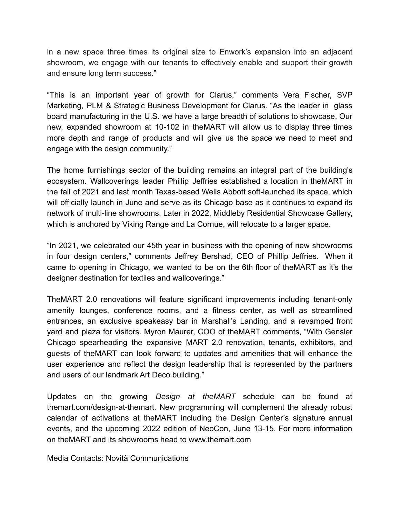in a new space three times its original size to Enwork's expansion into an adjacent showroom, we engage with our tenants to effectively enable and support their growth and ensure long term success."

"This is an important year of growth for Clarus," comments Vera Fischer, SVP Marketing, PLM & Strategic Business Development for Clarus. "As the leader in glass board manufacturing in the U.S. we have a large breadth of solutions to showcase. Our new, expanded showroom at 10-102 in theMART will allow us to display three times more depth and range of products and will give us the space we need to meet and engage with the design community."

The home furnishings sector of the building remains an integral part of the building's ecosystem. Wallcoverings leader Phillip Jeffries established a location in theMART in the fall of 2021 and last month Texas-based Wells Abbott soft-launched its space, which will officially launch in June and serve as its Chicago base as it continues to expand its network of multi-line showrooms. Later in 2022, Middleby Residential Showcase Gallery, which is anchored by Viking Range and La Cornue, will relocate to a larger space.

"In 2021, we celebrated our 45th year in business with the opening of new showrooms in four design centers," comments Jeffrey Bershad, CEO of Phillip Jeffries. When it came to opening in Chicago, we wanted to be on the 6th floor of theMART as it's the designer destination for textiles and wallcoverings."

TheMART 2.0 renovations will feature significant improvements including tenant-only amenity lounges, conference rooms, and a fitness center, as well as streamlined entrances, an exclusive speakeasy bar in Marshall's Landing, and a revamped front yard and plaza for visitors. Myron Maurer, COO of theMART comments, "With Gensler Chicago spearheading the expansive MART 2.0 renovation, tenants, exhibitors, and guests of theMART can look forward to updates and amenities that will enhance the user experience and reflect the design leadership that is represented by the partners and users of our landmark Art Deco building."

Updates on the growing *Design at theMART* schedule can be found at themart.com/design-at-themart. New programming will complement the already robust calendar of activations at theMART including the Design Center's signature annual events, and the upcoming 2022 edition of NeoCon, June 13-15. For more information on theMART and its showrooms head to www.themart.com

Media Contacts: Novità Communications